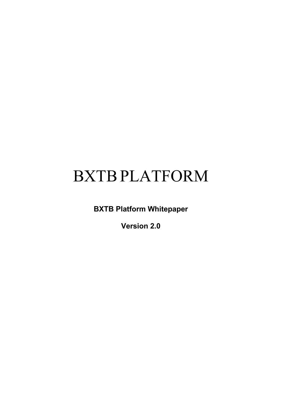# BXTBPLATFORM

**BXTB Platform Whitepaper**

**Version 2.0**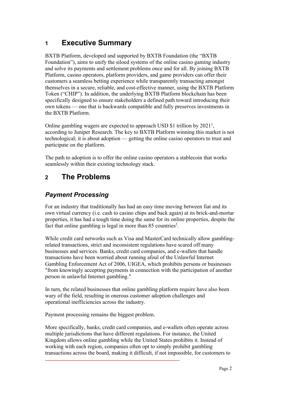# **1 Executive Summary**

BXTB Platform, developed and supported by BXTB Foundation (the "BXTB Foundation"), aims to unify the siloed systems of the online casino gaming industry and solve its payments and settlement problems once and for all. By joining BXTB Platform, casino operators, platform providers, and game providers can offer their customers a seamless betting experience while transparently transacting amongst themselves in a secure, reliable, and cost-effective manner, using the BXTB Platform Token ("CHIP"). In addition, the underlying BXTB Platform blockchain has been specifically designed to ensure stakeholders a defined path toward introducing their own tokens — one that is backwards compatible and fully preserves investments in the BXTB Platform.

Online gambling wagers are expected to approach USD \$1 trillion by  $2021<sup>1</sup>$ , according to Juniper Research. The key to BXTB Platform winning this market is not technological; it is about adoption — getting the online casino operators to trust and participate on the platform.

The path to adoption is to offer the online casino operators a stablecoin that works seamlessly within their existing technology stack.

# **2 The Problems**

## *Payment Processing*

For an industry that traditionally has had an easy time moving between fiat and its own virtual currency (i.e. cash to casino chips and back again) at its brick-and-mortar properties, it has had a tough time doing the same for its online properties, despite the fact that online gambling is legal in more than  $85$  countries<sup>2</sup>.

While credit card networks such as Visa and MasterCard technically allow gamblingrelated transactions, strict and inconsistent regulations have scared off many businesses and services. Banks, credit card companies, and e-wallets that handle transactions have been worried about running afoul of the Unlawful Internet Gambling Enforcement Act of 2006, UIGEA, which prohibits persons or businesses "from knowingly accepting payments in connection with the participation of another person in unlawful Internet gambling."

In turn, the related businesses that online gambling platform require have also been wary of the field, resulting in onerous customer adoption challenges and operational inefficiencies across the industry.

Payment processing remains the biggest problem.

More specifically, banks, credit card companies, and e-wallets often operate across multiple jurisdictions that have different regulations. For instance, the United Kingdom allows online gambling while the United States prohibits it. Instead of working with each region, companies often opt to simply prohibit gambling transactions across the board, making it difficult, if not impossible, for customers to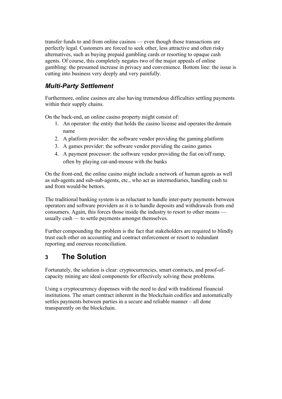transfer funds to and from online casinos — even though those transactions are perfectly legal. Customers are forced to seek other, less attractive and often risky alternatives, such as buying prepaid gambling cards or resorting to opaque cash agents. Of course, this completely negates two of the major appeals of online gambling: the presumed increase in privacy and convenience. Bottom line: the issue is cutting into business very deeply and very painfully.

#### *Multi-Party Settlement*

Furthermore, online casinos are also having tremendous difficulties settling payments within their supply chains.

On the back-end, an online casino property might consist of:

- 1. An operator: the entity that holds the casino license and operates the domain name
- 2. A platform provider: the software vendor providing the gaming platform
- 3. A games provider: the software vendor providing the casino games
- 4. A payment processor: the software vendor providing the fiat on/off ramp, often by playing cat-and-mouse with the banks

On the front-end, the online casino might include a network of human agents as well as sub-agents and sub-sub-agents, etc., who act as intermediaries, handling cash to and from would-be bettors.

The traditional banking system is as reluctant to handle inter-party payments between operators and software providers as it is to handle deposits and withdrawals from end consumers. Again, this forces those inside the industry to resort to other means usually cash — to settle payments amongst themselves.

Further compounding the problem is the fact that stakeholders are required to blindly trust each other on accounting and contract enforcement or resort to redundant reporting and onerous reconciliation.

## **3 The Solution**

Fortunately, the solution is clear: cryptocurrencies, smart contracts, and proof-ofcapacity mining are ideal components for effectively solving these problems.

Using a cryptocurrency dispenses with the need to deal with traditional financial institutions. The smart contract inherent in the blockchain codifies and automatically settles payments between parties in a secure and reliable manner – all done transparently on the blockchain.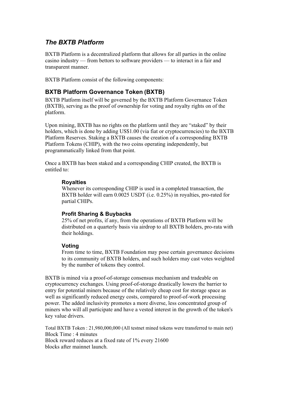#### *The BXTB Platform*

BXTB Platform is a decentralized platform that allows for all parties in the online casino industry — from bettors to software providers — to interact in a fair and transparent manner.

BXTB Platform consist of the following components:

#### **BXTB Platform Governance Token (BXTB)**

BXTB Platform itself will be governed by the BXTB Platform Governance Token (BXTB), serving as the proof of ownership for voting and royalty rights on of the platform.

Upon mining, BXTB has no rights on the platform until they are "staked" by their holders, which is done by adding US\$1.00 (via fiat or cryptocurrencies) to the BXTB Platform Reserves. Staking a BXTB causes the creation of a corresponding BXTB Platform Tokens (CHIP), with the two coins operating independently, but programmatically linked from that point.

Once a BXTB has been staked and a corresponding CHIP created, the BXTB is entitled to:

#### **Royalties**

Whenever its corresponding CHIP is used in a completed transaction, the BXTB holder will earn 0.0025 USDT (i.e. 0.25%) in royalties, pro-rated for partial CHIPs.

#### **Profit Sharing & Buybacks**

25% of net profits, if any, from the operations of BXTB Platform will be distributed on a quarterly basis via airdrop to all BXTB holders, pro-rata with their holdings.

#### **Voting**

From time to time, BXTB Foundation may pose certain governance decisions to its community of BXTB holders, and such holders may cast votes weighted by the number of tokens they control.

BXTB is mined via a proof-of-storage consensus mechanism and tradeable on cryptocurrency exchanges. Using proof-of-storage drastically lowers the barrier to entry for potential miners because of the relatively cheap cost for storage space as well as significantly reduced energy costs, compared to proof-of-work processing power. The added inclusivity promotes a more diverse, less concentrated group of miners who will all participate and have a vested interest in the growth of the token's key value drivers.

Total BXTB Token : 21,980,000,000 (All testnet mined tokens were transferred to main net) Block Time : 4 minutes Block reward reduces at a fixed rate of 1% every 21600 blocks after mainnet launch.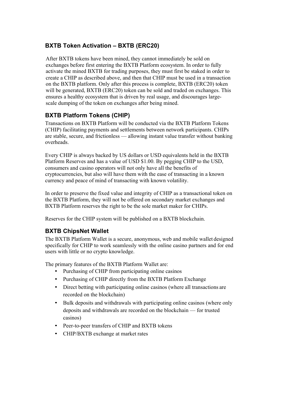#### **BXTB Token Activation – BXTB (ERC20)**

After BXTB tokens have been mined, they cannot immediately be sold on exchanges before first entering the BXTB Platform ecosystem. In order to fully activate the mined BXTB for trading purposes, they must first be staked in order to create a CHIP as described above, and then that CHIP must be used in a transaction on the BXTB platform. Only after this process is complete, BXTB (ERC20) token will be generated, BXTB (ERC20) token can be sold and traded on exchanges. This ensures a healthy ecosystem that is driven by real usage, and discourages largescale dumping of the token on exchanges after being mined.

#### **BXTB Platform Tokens (CHIP)**

Transactions on BXTB Platform will be conducted via the BXTB Platform Tokens (CHIP) facilitating payments and settlements between network participants. CHIPs are stable, secure, and frictionless — allowing instant value transfer without banking overheads.

Every CHIP is always backed by US dollars or USD equivalents held in the BXTB Platform Reserves and has a value of USD \$1.00. By pegging CHIP to the USD, consumers and casino operators will not only have all the benefits of cryptocurrencies, but also will have them with the ease of transacting in a known currency and peace of mind of transacting with known volatility.

In order to preserve the fixed value and integrity of CHIP as a transactional token on the BXTB Platform, they will not be offered on secondary market exchanges and BXTB Platform reserves the right to be the sole market maker for CHIPs.

Reserves for the CHIP system will be published on a BXTB blockchain.

#### **BXTB ChipsNet Wallet**

The BXTB Platform Wallet is a secure, anonymous, web and mobile wallet designed specifically for CHIP to work seamlessly with the online casino partners and for end users with little or no crypto knowledge.

The primary features of the BXTB Platform Wallet are:

- Purchasing of CHIP from participating online casinos
- Purchasing of CHIP directly from the BXTB Platform Exchange
- Direct betting with participating online casinos (where all transactions are recorded on the blockchain)
- Bulk deposits and withdrawals with participating online casinos (where only deposits and withdrawals are recorded on the blockchain — for trusted casinos)
- Peer-to-peer transfers of CHIP and BXTB tokens
- CHIP/BXTB exchange at market rates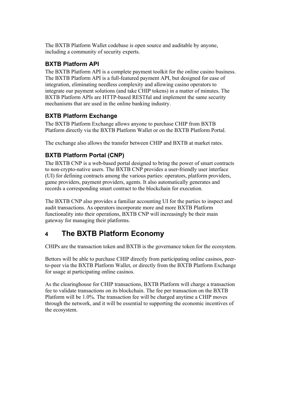The BXTB Platform Wallet codebase is open source and auditable by anyone, including a community of security experts.

#### **BXTB Platform API**

The BXTB Platform API is a complete payment toolkit for the online casino business. The BXTB Platform API is a full-featured payment API, but designed for ease of integration, eliminating needless complexity and allowing casino operators to integrate our payment solutions (and take CHIP tokens) in a matter of minutes. The BXTB Platform APIs are HTTP-based RESTful and implement the same security mechanisms that are used in the online banking industry.

#### **BXTB Platform Exchange**

The BXTB Platform Exchange allows anyone to purchase CHIP from BXTB Platform directly via the BXTB Platform Wallet or on the BXTB Platform Portal.

The exchange also allows the transfer between CHIP and BXTB at market rates.

#### **BXTB Platform Portal (CNP)**

The BXTB CNP is a web-based portal designed to bring the power of smart contracts to non-crypto-native users. The BXTB CNP provides a user-friendly user interface (UI) for defining contracts among the various parties: operators, platform providers, game providers, payment providers, agents. It also automatically generates and records a corresponding smart contract to the blockchain for execution.

The BXTB CNP also provides a familiar accounting UI for the parties to inspect and audit transactions. As operators incorporate more and more BXTB Platform functionality into their operations, BXTB CNP will increasingly be their main gateway for managing their platforms.

## **4 The BXTB Platform Economy**

CHIPs are the transaction token and BXTB is the governance token for the ecosystem.

Bettors will be able to purchase CHIP directly from participating online casinos, peerto-peer via the BXTB Platform Wallet, or directly from the BXTB Platform Exchange for usage at participating online casinos.

As the clearinghouse for CHIP transactions, BXTB Platform will charge a transaction fee to validate transactions on its blockchain. The fee per transaction on the BXTB Platform will be 1.0%. The transaction fee will be charged anytime a CHIP moves through the network, and it will be essential to supporting the economic incentives of the ecosystem.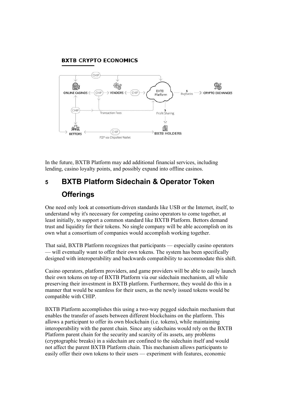#### **BXTB CRYPTO ECONOMICS**



In the future, BXTB Platform may add additional financial services, including lending, casino loyalty points, and possibly expand into offline casinos.

# **5 BXTB Platform Sidechain & Operator Token Offerings**

One need only look at consortium-driven standards like USB or the Internet, itself, to understand why it's necessary for competing casino operators to come together, at least initially, to support a common standard like BXTB Platform. Bettors demand trust and liquidity for their tokens. No single company will be able accomplish on its own what a consortium of companies would accomplish working together.

That said, BXTB Platform recognizes that participants — especially casino operators — will eventually want to offer their own tokens. The system has been specifically designed with interoperability and backwards compatibility to accommodate this shift.

Casino operators, platform providers, and game providers will be able to easily launch their own tokens on top of BXTB Platform via our sidechain mechanism, all while preserving their investment in BXTB platform. Furthermore, they would do this in a manner that would be seamless for their users, as the newly issued tokens would be compatible with CHIP.

BXTB Platform accomplishes this using a two-way pegged sidechain mechanism that enables the transfer of assets between different blockchains on the platform. This allows a participant to offer its own blockchain (i.e. tokens), while maintaining interoperability with the parent chain. Since any sidechains would rely on the BXTB Platform parent chain for the security and scarcity of its assets, any problems (cryptographic breaks) in a sidechain are confined to the sidechain itself and would not affect the parent BXTB Platform chain. This mechanism allows participants to easily offer their own tokens to their users — experiment with features, economic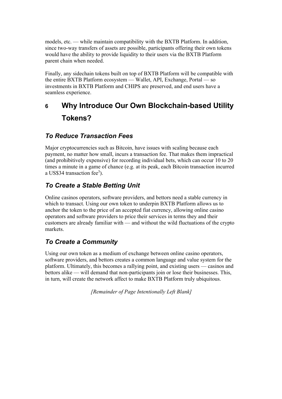models, etc. — while maintain compatibility with the BXTB Platform. In addition, since two-way transfers of assets are possible, participants offering their own tokens would have the ability to provide liquidity to their users via the BXTB Platform parent chain when needed.

Finally, any sidechain tokens built on top of BXTB Platform will be compatible with the entire BXTB Platform ecosystem — Wallet, API, Exchange, Portal — so investments in BXTB Platform and CHIPS are preserved, and end users have a seamless experience.

# **6 Why Introduce Our Own Blockchain-based Utility Tokens?**

#### *To Reduce Transaction Fees*

Major cryptocurrencies such as Bitcoin, have issues with scaling because each payment, no matter how small, incurs a transaction fee. That makes them impractical (and prohibitively expensive) for recording individual bets, which can occur 10 to 20 times a minute in a game of chance (e.g. at its peak, each Bitcoin transaction incurred a US\$34 transaction fee<sup>3</sup>).

#### *To Create a Stable Betting Unit*

Online casinos operators, software providers, and bettors need a stable currency in which to transact. Using our own token to underpin BXTB Platform allows us to anchor the token to the price of an accepted fiat currency, allowing online casino operators and software providers to price their services in terms they and their customers are already familiar with — and without the wild fluctuations of the crypto markets.

#### *To Create a Community*

Using our own token as a medium of exchange between online casino operators, software providers, and bettors creates a common language and value system for the platform. Ultimately, this becomes a rallying point, and existing users — casinos and bettors alike — will demand that non-participants join or lose their businesses. This, in turn, will create the network affect to make BXTB Platform truly ubiquitous.

*[Remainder of Page Intentionally Left Blank]*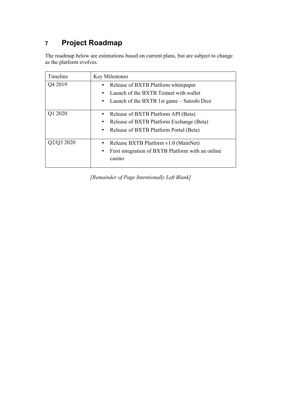# **7 Project Roadmap**

The roadmap below are estimations based on current plans, but are subject to change as the platform evolves.

| Timeline | <b>Key Milestones</b>                                                           |
|----------|---------------------------------------------------------------------------------|
| Q4 2019  | Release of BXTB Platform white paper                                            |
|          | Launch of the BXTB Testnet with wallet                                          |
|          | • Launch of the BXTB 1st game – Satoshi Dice                                    |
| Q1 2020  | Release of BXTB Platform API (Beta)<br>Release of BXTB Platform Exchange (Beta) |
|          | • Release of BXTB Platform Portal (Beta)                                        |
| Q3 2020  | Release BXTB Platform v1.0 (MainNet)                                            |
|          | First integration of BXTB Platform with an online<br>casino                     |

*[Remainder of Page Intentionally Left Blank]*